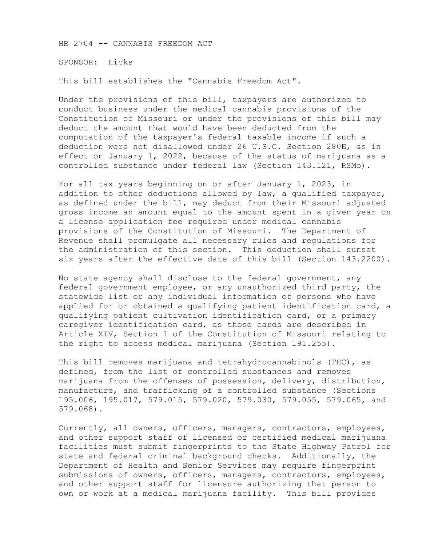HB 2704 -- CANNABIS FREEDOM ACT

SPONSOR: Hicks

This bill establishes the "Cannabis Freedom Act".

Under the provisions of this bill, taxpayers are authorized to conduct business under the medical cannabis provisions of the Constitution of Missouri or under the provisions of this bill may deduct the amount that would have been deducted from the computation of the taxpayer's federal taxable income if such a deduction were not disallowed under 26 U.S.C. Section 280E, as in effect on January 1, 2022, because of the status of marijuana as a controlled substance under federal law (Section 143.121, RSMo).

For all tax years beginning on or after January 1, 2023, in addition to other deductions allowed by law, a qualified taxpayer, as defined under the bill, may deduct from their Missouri adjusted gross income an amount equal to the amount spent in a given year on a license application fee required under medical cannabis provisions of the Constitution of Missouri. The Department of Revenue shall promulgate all necessary rules and regulations for the administration of this section. This deduction shall sunset six years after the effective date of this bill (Section 143.2200).

No state agency shall disclose to the federal government, any federal government employee, or any unauthorized third party, the statewide list or any individual information of persons who have applied for or obtained a qualifying patient identification card, a qualifying patient cultivation identification card, or a primary caregiver identification card, as those cards are described in Article XIV, Section 1 of the Constitution of Missouri relating to the right to access medical marijuana (Section 191.255).

This bill removes marijuana and tetrahydrocannabinols (THC), as defined, from the list of controlled substances and removes marijuana from the offenses of possession, delivery, distribution, manufacture, and trafficking of a controlled substance (Sections 195.006, 195.017, 579.015, 579.020, 579.030, 579.055, 579.065, and 579.068).

Currently, all owners, officers, managers, contractors, employees, and other support staff of licensed or certified medical marijuana facilities must submit fingerprints to the State Highway Patrol for state and federal criminal background checks. Additionally, the Department of Health and Senior Services may require fingerprint submissions of owners, officers, managers, contractors, employees, and other support staff for licensure authorizing that person to own or work at a medical marijuana facility. This bill provides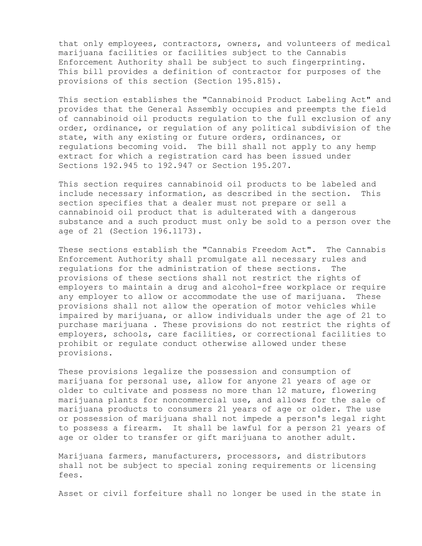that only employees, contractors, owners, and volunteers of medical marijuana facilities or facilities subject to the Cannabis Enforcement Authority shall be subject to such fingerprinting. This bill provides a definition of contractor for purposes of the provisions of this section (Section 195.815).

This section establishes the "Cannabinoid Product Labeling Act" and provides that the General Assembly occupies and preempts the field of cannabinoid oil products regulation to the full exclusion of any order, ordinance, or regulation of any political subdivision of the state, with any existing or future orders, ordinances, or regulations becoming void. The bill shall not apply to any hemp extract for which a registration card has been issued under Sections 192.945 to 192.947 or Section 195.207.

This section requires cannabinoid oil products to be labeled and include necessary information, as described in the section. This section specifies that a dealer must not prepare or sell a cannabinoid oil product that is adulterated with a dangerous substance and a such product must only be sold to a person over the age of 21 (Section 196.1173).

These sections establish the "Cannabis Freedom Act". The Cannabis Enforcement Authority shall promulgate all necessary rules and regulations for the administration of these sections. The provisions of these sections shall not restrict the rights of employers to maintain a drug and alcohol-free workplace or require any employer to allow or accommodate the use of marijuana. These provisions shall not allow the operation of motor vehicles while impaired by marijuana, or allow individuals under the age of 21 to purchase marijuana . These provisions do not restrict the rights of employers, schools, care facilities, or correctional facilities to prohibit or regulate conduct otherwise allowed under these provisions.

These provisions legalize the possession and consumption of marijuana for personal use, allow for anyone 21 years of age or older to cultivate and possess no more than 12 mature, flowering marijuana plants for noncommercial use, and allows for the sale of marijuana products to consumers 21 years of age or older. The use or possession of marijuana shall not impede a person's legal right to possess a firearm. It shall be lawful for a person 21 years of age or older to transfer or gift marijuana to another adult.

Marijuana farmers, manufacturers, processors, and distributors shall not be subject to special zoning requirements or licensing fees.

Asset or civil forfeiture shall no longer be used in the state in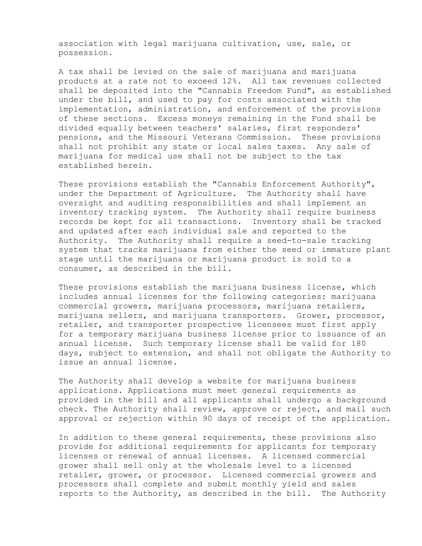association with legal marijuana cultivation, use, sale, or possession.

A tax shall be levied on the sale of marijuana and marijuana products at a rate not to exceed 12%. All tax revenues collected shall be deposited into the "Cannabis Freedom Fund", as established under the bill, and used to pay for costs associated with the implementation, administration, and enforcement of the provisions of these sections. Excess moneys remaining in the Fund shall be divided equally between teachers' salaries, first responders' pensions, and the Missouri Veterans Commission. These provisions shall not prohibit any state or local sales taxes. Any sale of marijuana for medical use shall not be subject to the tax established herein.

These provisions establish the "Cannabis Enforcement Authority", under the Department of Agriculture. The Authority shall have oversight and auditing responsibilities and shall implement an inventory tracking system. The Authority shall require business records be kept for all transactions. Inventory shall be tracked and updated after each individual sale and reported to the Authority. The Authority shall require a seed-to-sale tracking system that tracks marijuana from either the seed or immature plant stage until the marijuana or marijuana product is sold to a consumer, as described in the bill.

These provisions establish the marijuana business license, which includes annual licenses for the following categories: marijuana commercial growers, marijuana processors, marijuana retailers, marijuana sellers, and marijuana transporters. Grower, processor, retailer, and transporter prospective licensees must first apply for a temporary marijuana business license prior to issuance of an annual license. Such temporary license shall be valid for 180 days, subject to extension, and shall not obligate the Authority to issue an annual license.

The Authority shall develop a website for marijuana business applications. Applications must meet general requirements as provided in the bill and all applicants shall undergo a background check. The Authority shall review, approve or reject, and mail such approval or rejection within 90 days of receipt of the application.

In addition to these general requirements, these provisions also provide for additional requirements for applicants for temporary licenses or renewal of annual licenses. A licensed commercial grower shall sell only at the wholesale level to a licensed retailer, grower, or processor. Licensed commercial growers and processors shall complete and submit monthly yield and sales reports to the Authority, as described in the bill. The Authority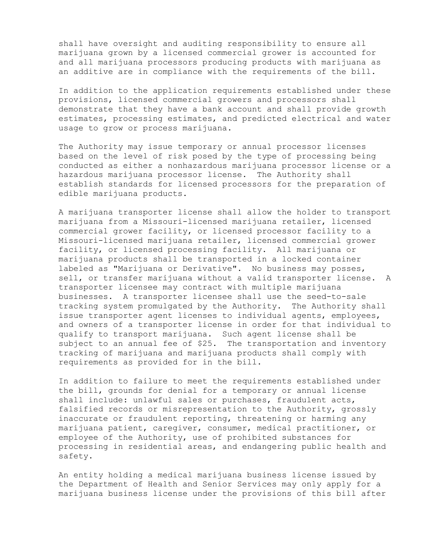shall have oversight and auditing responsibility to ensure all marijuana grown by a licensed commercial grower is accounted for and all marijuana processors producing products with marijuana as an additive are in compliance with the requirements of the bill.

In addition to the application requirements established under these provisions, licensed commercial growers and processors shall demonstrate that they have a bank account and shall provide growth estimates, processing estimates, and predicted electrical and water usage to grow or process marijuana.

The Authority may issue temporary or annual processor licenses based on the level of risk posed by the type of processing being conducted as either a nonhazardous marijuana processor license or a hazardous marijuana processor license. The Authority shall establish standards for licensed processors for the preparation of edible marijuana products.

A marijuana transporter license shall allow the holder to transport marijuana from a Missouri-licensed marijuana retailer, licensed commercial grower facility, or licensed processor facility to a Missouri-licensed marijuana retailer, licensed commercial grower facility, or licensed processing facility. All marijuana or marijuana products shall be transported in a locked container labeled as "Marijuana or Derivative". No business may posses, sell, or transfer marijuana without a valid transporter license. A transporter licensee may contract with multiple marijuana businesses. A transporter licensee shall use the seed-to-sale tracking system promulgated by the Authority. The Authority shall issue transporter agent licenses to individual agents, employees, and owners of a transporter license in order for that individual to qualify to transport marijuana. Such agent license shall be subject to an annual fee of \$25. The transportation and inventory tracking of marijuana and marijuana products shall comply with requirements as provided for in the bill.

In addition to failure to meet the requirements established under the bill, grounds for denial for a temporary or annual license shall include: unlawful sales or purchases, fraudulent acts, falsified records or misrepresentation to the Authority, grossly inaccurate or fraudulent reporting, threatening or harming any marijuana patient, caregiver, consumer, medical practitioner, or employee of the Authority, use of prohibited substances for processing in residential areas, and endangering public health and safety.

An entity holding a medical marijuana business license issued by the Department of Health and Senior Services may only apply for a marijuana business license under the provisions of this bill after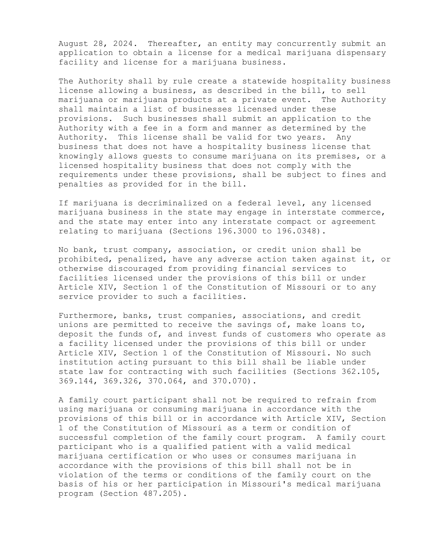August 28, 2024. Thereafter, an entity may concurrently submit an application to obtain a license for a medical marijuana dispensary facility and license for a marijuana business.

The Authority shall by rule create a statewide hospitality business license allowing a business, as described in the bill, to sell marijuana or marijuana products at a private event. The Authority shall maintain a list of businesses licensed under these provisions. Such businesses shall submit an application to the Authority with a fee in a form and manner as determined by the Authority. This license shall be valid for two years. Any business that does not have a hospitality business license that knowingly allows guests to consume marijuana on its premises, or a licensed hospitality business that does not comply with the requirements under these provisions, shall be subject to fines and penalties as provided for in the bill.

If marijuana is decriminalized on a federal level, any licensed marijuana business in the state may engage in interstate commerce, and the state may enter into any interstate compact or agreement relating to marijuana (Sections 196.3000 to 196.0348).

No bank, trust company, association, or credit union shall be prohibited, penalized, have any adverse action taken against it, or otherwise discouraged from providing financial services to facilities licensed under the provisions of this bill or under Article XIV, Section 1 of the Constitution of Missouri or to any service provider to such a facilities.

Furthermore, banks, trust companies, associations, and credit unions are permitted to receive the savings of, make loans to, deposit the funds of, and invest funds of customers who operate as a facility licensed under the provisions of this bill or under Article XIV, Section 1 of the Constitution of Missouri. No such institution acting pursuant to this bill shall be liable under state law for contracting with such facilities (Sections 362.105, 369.144, 369.326, 370.064, and 370.070).

A family court participant shall not be required to refrain from using marijuana or consuming marijuana in accordance with the provisions of this bill or in accordance with Article XIV, Section 1 of the Constitution of Missouri as a term or condition of successful completion of the family court program. A family court participant who is a qualified patient with a valid medical marijuana certification or who uses or consumes marijuana in accordance with the provisions of this bill shall not be in violation of the terms or conditions of the family court on the basis of his or her participation in Missouri's medical marijuana program (Section 487.205).